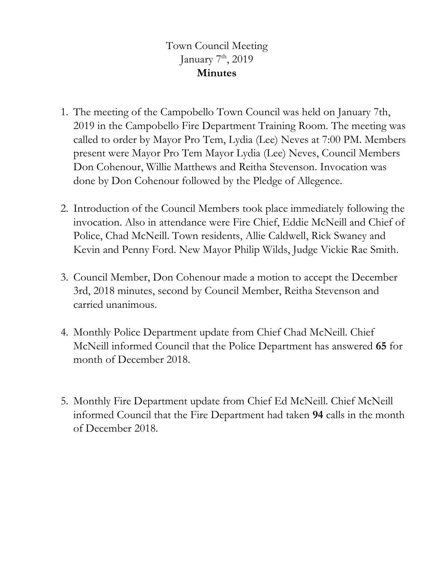## Town Council Meeting January  $7<sup>th</sup>$ , 2019 **Minutes**

- 1. The meeting of the Campobello Town Council was held on January 7th, 2019 in the Campobello Fire Department Training Room. The meeting was called to order by Mayor Pro Tem, Lydia (Lee) Neves at 7:00 PM. Members present were Mayor Pro Tem Mayor Lydia (Lee) Neves, Council Members Don Cohenour, Willie Matthews and Reitha Stevenson. Invocation was done by Don Cohenour followed by the Pledge of Allegence.
- 2. Introduction of the Council Members took place immediately following the invocation. Also in attendance were Fire Chief, Eddie McNeill and Chief of Police, Chad McNeill. Town residents, Allie Caldwell, Rick Swaney and Kevin and Penny Ford. New Mayor Philip Wilds, Judge Vickie Rae Smith.
- 3. Council Member, Don Cohenour made a motion to accept the December 3rd, 2018 minutes, second by Council Member, Reitha Stevenson and carried unanimous.
- 4. Monthly Police Department update from Chief Chad McNeill. Chief McNeill informed Council that the Police Department has answered **65** for month of December 2018.
- 5. Monthly Fire Department update from Chief Ed McNeill. Chief McNeill informed Council that the Fire Department had taken **94** calls in the month of December 2018.